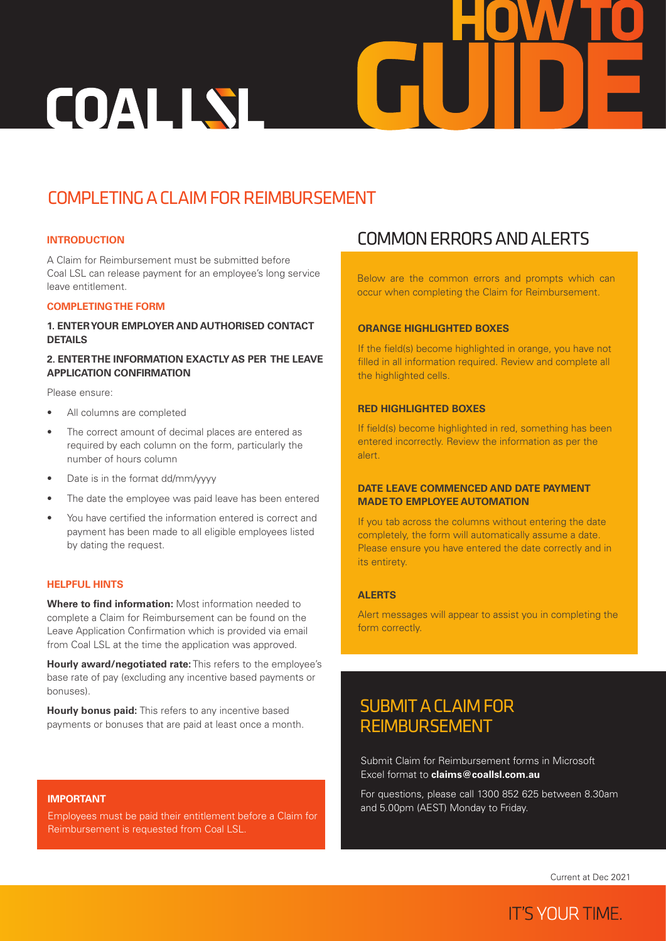# COALLSL

## COMPLETING A CLAIM FOR REIMBURSEMENT

## **INTRODUCTION**

A Claim for Reimbursement must be submitted before Coal LSL can release payment for an employee's long service leave entitlement.

## **COMPLETING THE FORM**

## **1. ENTER YOUR EMPLOYER AND AUTHORISED CONTACT DETAILS**

## **2. ENTER THE INFORMATION EXACTLY AS PER THE LEAVE APPLICATION CONFIRMATION**

Please ensure:

- All columns are completed
- The correct amount of decimal places are entered as required by each column on the form, particularly the number of hours column
- Date is in the format dd/mm/yyyy
- The date the employee was paid leave has been entered
- You have certified the information entered is correct and payment has been made to all eligible employees listed by dating the request.

#### **HELPFUL HINTS**

**Where to find information:** Most information needed to complete a Claim for Reimbursement can be found on the Leave Application Confirmation which is provided via email from Coal LSL at the time the application was approved.

**Hourly award/negotiated rate:** This refers to the employee's base rate of pay (excluding any incentive based payments or bonuses).

**Hourly bonus paid:** This refers to any incentive based payments or bonuses that are paid at least once a month.

## **IMPORTANT**

Employees must be paid their entitlement before a Claim for Reimbursement is requested from Coal LSL.

## COMMON ERRORS AND ALERTS

Below are the common errors and prompts which can occur when completing the Claim for Reimbursement.

**GUIDE**

**HOW TO**

## **ORANGE HIGHLIGHTED BOXES**

If the field(s) become highlighted in orange, you have not filled in all information required. Review and complete all the highlighted cells.

### **RED HIGHLIGHTED BOXES**

If field(s) become highlighted in red, something has been entered incorrectly. Review the information as per the alert.

## **DATE LEAVE COMMENCED AND DATE PAYMENT MADE TO EMPLOYEE AUTOMATION**

If you tab across the columns without entering the date completely, the form will automatically assume a date. Please ensure you have entered the date correctly and in its entirety.

## **ALERTS**

Alert messages will appear to assist you in completing the form correctly.

## SUBMIT A CLAIM FOR REIMBURSEMENT

Submit Claim for Reimbursement forms in Microsoft Excel format to **claims@coallsl.com.au**

For questions, please call 1300 852 625 between 8.30am and 5.00pm (AEST) Monday to Friday.

Current at Dec 2021